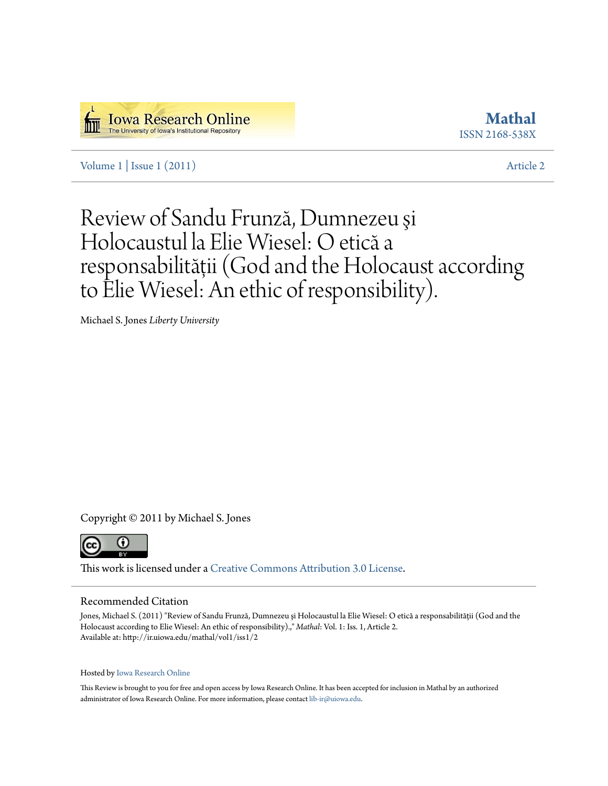

**[Mathal](http://ir.uiowa.edu/mathal)** ISSN 2168-538X

Volume  $1 \mid$  Issue  $1 \mid (2011)$  [Article 2](http://ir.uiowa.edu/mathal/vol1/iss1/2)

# Review of Sandu Frunză, Dumnezeu şi Holocaustul la Elie Wiesel: O etică a responsabilităţii (God and the Holocaust according to Elie Wiesel: An ethic of responsibility).

Michael S. Jones *Liberty University*

Copyright © 2011 by Michael S. Jones



This work is licensed under a [Creative Commons Attribution 3.0 License.](http://creativecommons.org/licenses/by/3.0/)

### Recommended Citation

Jones, Michael S. (2011) "Review of Sandu Frunză, Dumnezeu și Holocaustul la Elie Wiesel: O etică a responsabilității (God and the Holocaust according to Elie Wiesel: An ethic of responsibility).," *Mathal*: Vol. 1: Iss. 1, Article 2. Available at: http://ir.uiowa.edu/mathal/vol1/iss1/2

### Hosted by [Iowa Research Online](http://ir.uiowa.edu)

This Review is brought to you for free and open access by Iowa Research Online. It has been accepted for inclusion in Mathal by an authorized administrator of Iowa Research Online. For more information, please contact [lib-ir@uiowa.edu.](mailto:lib-ir@uiowa.edu)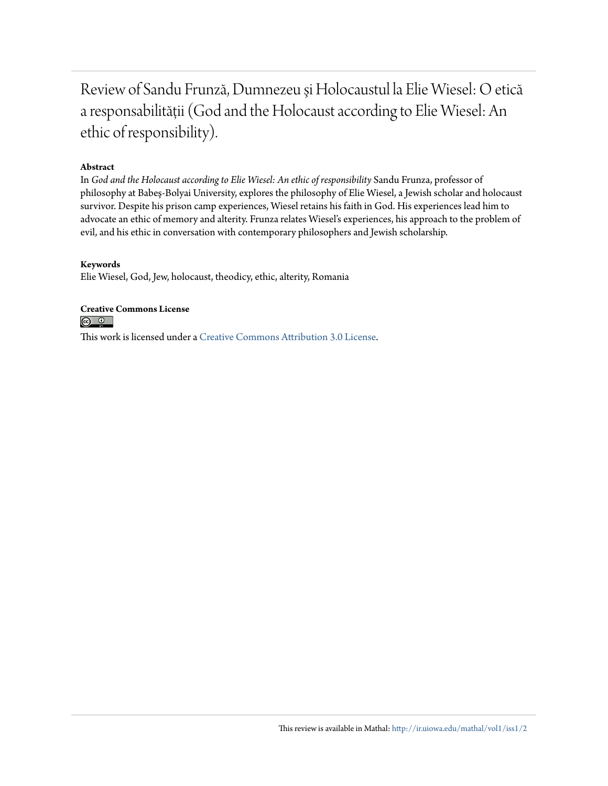## Review of Sandu Frunză, Dumnezeu şi Holocaustul la Elie Wiesel: O etică a responsabilităţii (God and the Holocaust according to Elie Wiesel: An ethic of responsibility).

### **Abstract**

In *God and the Holocaust according to Elie Wiesel: An ethic of responsibility* Sandu Frunza, professor of philosophy at Babeş-Bolyai University, explores the philosophy of Elie Wiesel, a Jewish scholar and holocaust survivor. Despite his prison camp experiences, Wiesel retains his faith in God. His experiences lead him to advocate an ethic of memory and alterity. Frunza relates Wiesel's experiences, his approach to the problem of evil, and his ethic in conversation with contemporary philosophers and Jewish scholarship.

### **Keywords**

Elie Wiesel, God, Jew, holocaust, theodicy, ethic, alterity, Romania

### **Creative Commons License**

 $\circ$   $\circ$ 

This work is licensed under a [Creative Commons Attribution 3.0 License.](http://creativecommons.org/licenses/by/3.0/)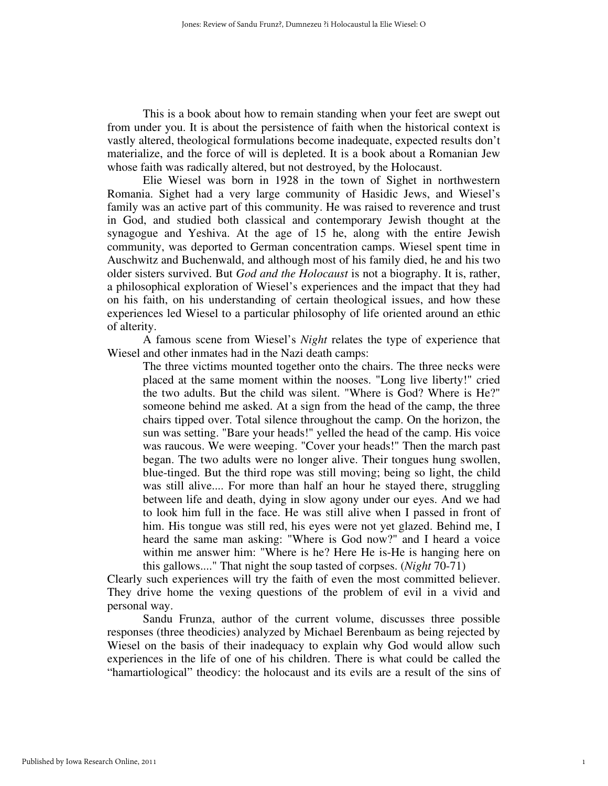This is a book about how to remain standing when your feet are swept out from under you. It is about the persistence of faith when the historical context is vastly altered, theological formulations become inadequate, expected results don't materialize, and the force of will is depleted. It is a book about a Romanian Jew whose faith was radically altered, but not destroyed, by the Holocaust.

Elie Wiesel was born in 1928 in the town of Sighet in northwestern Romania. Sighet had a very large community of Hasidic Jews, and Wiesel's family was an active part of this community. He was raised to reverence and trust in God, and studied both classical and contemporary Jewish thought at the synagogue and Yeshiva. At the age of 15 he, along with the entire Jewish community, was deported to German concentration camps. Wiesel spent time in Auschwitz and Buchenwald, and although most of his family died, he and his two older sisters survived. But *God and the Holocaust* is not a biography. It is, rather, a philosophical exploration of Wiesel's experiences and the impact that they had on his faith, on his understanding of certain theological issues, and how these experiences led Wiesel to a particular philosophy of life oriented around an ethic of alterity.

A famous scene from Wiesel's *Night* relates the type of experience that Wiesel and other inmates had in the Nazi death camps:

The three victims mounted together onto the chairs. The three necks were placed at the same moment within the nooses. "Long live liberty!" cried the two adults. But the child was silent. "Where is God? Where is He?" someone behind me asked. At a sign from the head of the camp, the three chairs tipped over. Total silence throughout the camp. On the horizon, the sun was setting. "Bare your heads!" yelled the head of the camp. His voice was raucous. We were weeping. "Cover your heads!" Then the march past began. The two adults were no longer alive. Their tongues hung swollen, blue-tinged. But the third rope was still moving; being so light, the child was still alive.... For more than half an hour he stayed there, struggling between life and death, dying in slow agony under our eyes. And we had to look him full in the face. He was still alive when I passed in front of him. His tongue was still red, his eyes were not yet glazed. Behind me, I heard the same man asking: "Where is God now?" and I heard a voice within me answer him: "Where is he? Here He is-He is hanging here on this gallows...." That night the soup tasted of corpses. (*Night* 70-71)

Clearly such experiences will try the faith of even the most committed believer. They drive home the vexing questions of the problem of evil in a vivid and personal way.

Sandu Frunza, author of the current volume, discusses three possible responses (three theodicies) analyzed by Michael Berenbaum as being rejected by Wiesel on the basis of their inadequacy to explain why God would allow such experiences in the life of one of his children. There is what could be called the "hamartiological" theodicy: the holocaust and its evils are a result of the sins of

1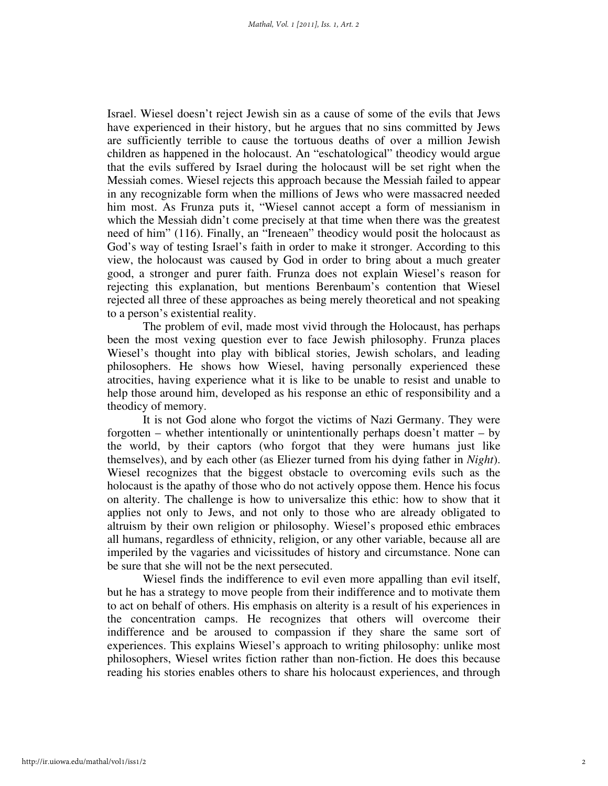Israel. Wiesel doesn't reject Jewish sin as a cause of some of the evils that Jews have experienced in their history, but he argues that no sins committed by Jews are sufficiently terrible to cause the tortuous deaths of over a million Jewish children as happened in the holocaust. An "eschatological" theodicy would argue that the evils suffered by Israel during the holocaust will be set right when the Messiah comes. Wiesel rejects this approach because the Messiah failed to appear in any recognizable form when the millions of Jews who were massacred needed him most. As Frunza puts it, "Wiesel cannot accept a form of messianism in which the Messiah didn't come precisely at that time when there was the greatest need of him" (116). Finally, an "Ireneaen" theodicy would posit the holocaust as God's way of testing Israel's faith in order to make it stronger. According to this view, the holocaust was caused by God in order to bring about a much greater good, a stronger and purer faith. Frunza does not explain Wiesel's reason for rejecting this explanation, but mentions Berenbaum's contention that Wiesel rejected all three of these approaches as being merely theoretical and not speaking to a person's existential reality.

 The problem of evil, made most vivid through the Holocaust, has perhaps been the most vexing question ever to face Jewish philosophy. Frunza places Wiesel's thought into play with biblical stories, Jewish scholars, and leading philosophers. He shows how Wiesel, having personally experienced these atrocities, having experience what it is like to be unable to resist and unable to help those around him, developed as his response an ethic of responsibility and a theodicy of memory.

It is not God alone who forgot the victims of Nazi Germany. They were forgotten – whether intentionally or unintentionally perhaps doesn't matter – by the world, by their captors (who forgot that they were humans just like themselves), and by each other (as Eliezer turned from his dying father in *Night*). Wiesel recognizes that the biggest obstacle to overcoming evils such as the holocaust is the apathy of those who do not actively oppose them. Hence his focus on alterity. The challenge is how to universalize this ethic: how to show that it applies not only to Jews, and not only to those who are already obligated to altruism by their own religion or philosophy. Wiesel's proposed ethic embraces all humans, regardless of ethnicity, religion, or any other variable, because all are imperiled by the vagaries and vicissitudes of history and circumstance. None can be sure that she will not be the next persecuted.

Wiesel finds the indifference to evil even more appalling than evil itself, but he has a strategy to move people from their indifference and to motivate them to act on behalf of others. His emphasis on alterity is a result of his experiences in the concentration camps. He recognizes that others will overcome their indifference and be aroused to compassion if they share the same sort of experiences. This explains Wiesel's approach to writing philosophy: unlike most philosophers, Wiesel writes fiction rather than non-fiction. He does this because reading his stories enables others to share his holocaust experiences, and through